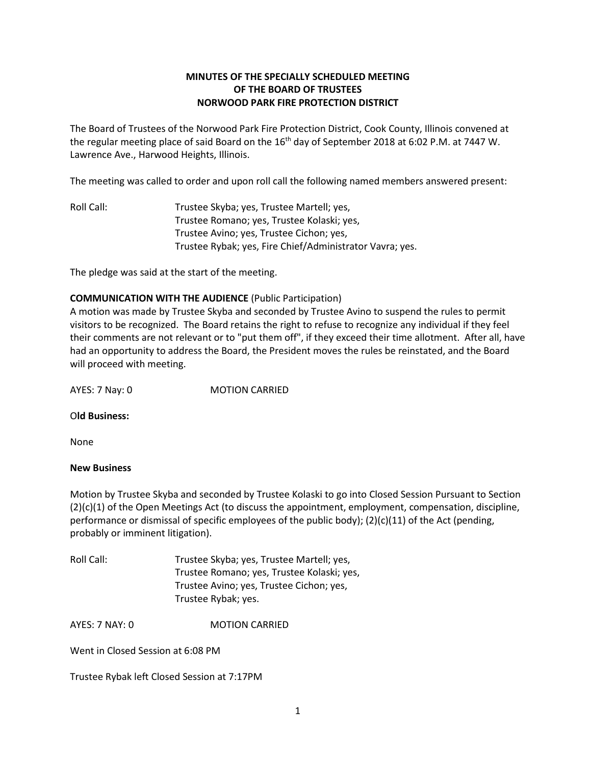## **MINUTES OF THE SPECIALLY SCHEDULED MEETING OF THE BOARD OF TRUSTEES NORWOOD PARK FIRE PROTECTION DISTRICT**

The Board of Trustees of the Norwood Park Fire Protection District, Cook County, Illinois convened at the regular meeting place of said Board on the 16<sup>th</sup> day of September 2018 at 6:02 P.M. at 7447 W. Lawrence Ave., Harwood Heights, Illinois.

The meeting was called to order and upon roll call the following named members answered present:

Roll Call: Trustee Skyba; yes, Trustee Martell; yes, Trustee Romano; yes, Trustee Kolaski; yes, Trustee Avino; yes, Trustee Cichon; yes, Trustee Rybak; yes, Fire Chief/Administrator Vavra; yes.

The pledge was said at the start of the meeting.

## **COMMUNICATION WITH THE AUDIENCE** (Public Participation)

A motion was made by Trustee Skyba and seconded by Trustee Avino to suspend the rules to permit visitors to be recognized. The Board retains the right to refuse to recognize any individual if they feel their comments are not relevant or to "put them off", if they exceed their time allotment. After all, have had an opportunity to address the Board, the President moves the rules be reinstated, and the Board will proceed with meeting.

AYES: 7 Nay: 0 MOTION CARRIED

## O**ld Business:**

None

## **New Business**

Motion by Trustee Skyba and seconded by Trustee Kolaski to go into Closed Session Pursuant to Section (2)(c)(1) of the Open Meetings Act (to discuss the appointment, employment, compensation, discipline, performance or dismissal of specific employees of the public body); (2)(c)(11) of the Act (pending, probably or imminent litigation).

| Roll Call: | Trustee Skyba; yes, Trustee Martell; yes,  |
|------------|--------------------------------------------|
|            | Trustee Romano; yes, Trustee Kolaski; yes, |
|            | Trustee Avino; yes, Trustee Cichon; yes,   |
|            | Trustee Rybak; yes.                        |

AYES: 7 NAY: 0 **MOTION CARRIED** 

Went in Closed Session at 6:08 PM

Trustee Rybak left Closed Session at 7:17PM